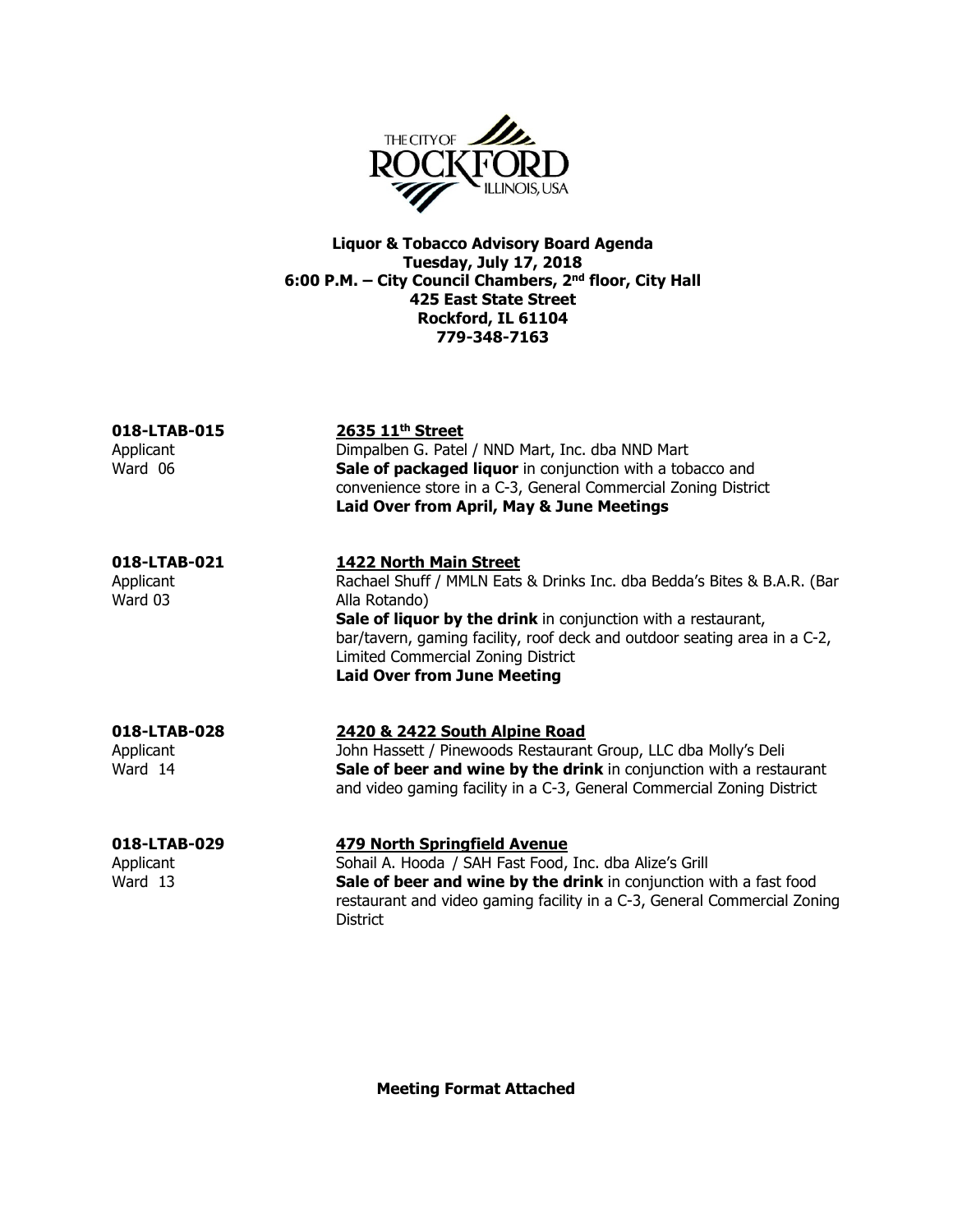

Liquor & Tobacco Advisory Board Agenda Tuesday, July 17, 2018 6:00 P.M. – City Council Chambers, 2nd floor, City Hall 425 East State Street Rockford, IL 61104 779-348-7163

018-LTAB-015 2635 11<sup>th</sup> Street Applicant **Dimpalben G. Patel / NND Mart, Inc. dba NND Mart** Ward 06 **Sale of packaged liquor** in conjunction with a tobacco and convenience store in a C-3, General Commercial Zoning District Laid Over from April, May & June Meetings

018-LTAB-021 1422 North Main Street Applicant Rachael Shuff / MMLN Eats & Drinks Inc. dba Bedda's Bites & B.A.R. (Bar<br>Ward 03 Alla Rotando) Alla Rotando) Sale of liquor by the drink in conjunction with a restaurant, bar/tavern, gaming facility, roof deck and outdoor seating area in a C-2, Limited Commercial Zoning District Laid Over from June Meeting

### 018-LTAB-028 2420 & 2422 South Alpine Road Applicant John Hassett / Pinewoods Restaurant Group, LLC dba Molly's Deli Ward 14 **Sale of beer and wine by the drink** in conjunction with a restaurant and video gaming facility in a C-3, General Commercial Zoning District

## 018-LTAB-029 479 North Springfield Avenue

Applicant Sohail A. Hooda / SAH Fast Food, Inc. dba Alize's Grill Ward 13 **Sale of beer and wine by the drink** in conjunction with a fast food restaurant and video gaming facility in a C-3, General Commercial Zoning **District** 

Meeting Format Attached